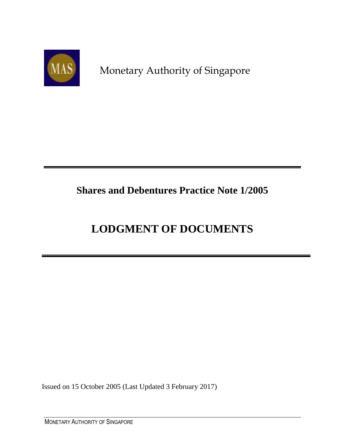

Monetary Authority of Singapore

## **Shares and Debentures Practice Note 1/2005**

# **LODGMENT OF DOCUMENTS**

Issued on 15 October 2005 (Last Updated 3 February 2017)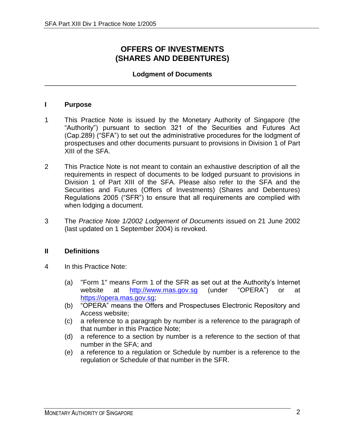## **OFFERS OF INVESTMENTS (SHARES AND DEBENTURES)**

#### **Lodgment of Documents** \_\_\_\_\_\_\_\_\_\_\_\_\_\_\_\_\_\_\_\_\_\_\_\_\_\_\_\_\_\_\_\_\_\_\_\_\_\_\_\_\_\_\_\_\_\_\_\_\_\_\_\_\_\_\_\_\_\_\_\_\_\_\_\_\_\_\_

#### **I Purpose**

- 1 This Practice Note is issued by the Monetary Authority of Singapore (the "Authority") pursuant to section 321 of the Securities and Futures Act (Cap.289) ("SFA") to set out the administrative procedures for the lodgment of prospectuses and other documents pursuant to provisions in Division 1 of Part XIII of the SFA.
- 2 This Practice Note is not meant to contain an exhaustive description of all the requirements in respect of documents to be lodged pursuant to provisions in Division 1 of Part XIII of the SFA. Please also refer to the SFA and the Securities and Futures (Offers of Investments) (Shares and Debentures) Regulations 2005 ("SFR") to ensure that all requirements are complied with when lodging a document.
- 3 The *Practice Note 1/2002 Lodgement of Documents* issued on 21 June 2002 (last updated on 1 September 2004) is revoked.

#### **II Definitions**

- 4 In this Practice Note:
	- (a) "Form 1" means Form 1 of the SFR as set out at the Authority's Internet website at [http://www.mas.gov.sg](http://www.mas.gov.sg/) (under "OPERA") or at [https://opera.mas.gov.sg;](https://opera.mas.gov.sg/)
	- (b) "OPERA" means the Offers and Prospectuses Electronic Repository and Access website;
	- (c) a reference to a paragraph by number is a reference to the paragraph of that number in this Practice Note;
	- (d) a reference to a section by number is a reference to the section of that number in the SFA; and
	- (e) a reference to a regulation or Schedule by number is a reference to the regulation or Schedule of that number in the SFR.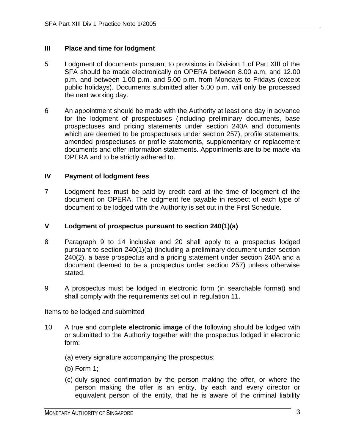#### **III Place and time for lodgment**

- 5 Lodgment of documents pursuant to provisions in Division 1 of Part XIII of the SFA should be made electronically on OPERA between 8.00 a.m. and 12.00 p.m. and between 1.00 p.m. and 5.00 p.m. from Mondays to Fridays (except public holidays). Documents submitted after 5.00 p.m. will only be processed the next working day.
- 6 An appointment should be made with the Authority at least one day in advance for the lodgment of prospectuses (including preliminary documents, base prospectuses and pricing statements under section 240A and documents which are deemed to be prospectuses under section 257), profile statements, amended prospectuses or profile statements, supplementary or replacement documents and offer information statements. Appointments are to be made via OPERA and to be strictly adhered to.

#### **IV Payment of lodgment fees**

7 Lodgment fees must be paid by credit card at the time of lodgment of the document on OPERA. The lodgment fee payable in respect of each type of document to be lodged with the Authority is set out in the First Schedule.

#### **V Lodgment of prospectus pursuant to section 240(1)(a)**

- 8 Paragraph 9 to 14 inclusive and 20 shall apply to a prospectus lodged pursuant to section 240(1)(a) (including a preliminary document under section 240(2), a base prospectus and a pricing statement under section 240A and a document deemed to be a prospectus under section 257) unless otherwise stated.
- 9 A prospectus must be lodged in electronic form (in searchable format) and shall comply with the requirements set out in regulation 11.

- 10 A true and complete **electronic image** of the following should be lodged with or submitted to the Authority together with the prospectus lodged in electronic form:
	- (a) every signature accompanying the prospectus;
	- (b) Form 1;
	- (c) duly signed confirmation by the person making the offer, or where the person making the offer is an entity, by each and every director or equivalent person of the entity, that he is aware of the criminal liability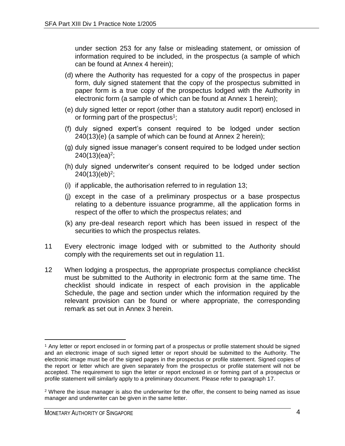under section 253 for any false or misleading statement, or omission of information required to be included, in the prospectus (a sample of which can be found at Annex 4 herein);

- (d) where the Authority has requested for a copy of the prospectus in paper form, duly signed statement that the copy of the prospectus submitted in paper form is a true copy of the prospectus lodged with the Authority in electronic form (a sample of which can be found at Annex 1 herein);
- (e) duly signed letter or report (other than a statutory audit report) enclosed in or forming part of the prospectus<sup>1</sup>;
- (f) duly signed expert's consent required to be lodged under section 240(13)(e) (a sample of which can be found at Annex 2 herein);
- (g) duly signed issue manager's consent required to be lodged under section 240(13)(ea)<sup>2</sup>;
- (h) duly signed underwriter's consent required to be lodged under section 240(13)(eb)<sup>2</sup>;
- (i) if applicable, the authorisation referred to in regulation 13;
- (j) except in the case of a preliminary prospectus or a base prospectus relating to a debenture issuance programme, all the application forms in respect of the offer to which the prospectus relates; and
- (k) any pre-deal research report which has been issued in respect of the securities to which the prospectus relates.
- 11 Every electronic image lodged with or submitted to the Authority should comply with the requirements set out in regulation 11.
- 12 When lodging a prospectus, the appropriate prospectus compliance checklist must be submitted to the Authority in electronic form at the same time. The checklist should indicate in respect of each provision in the applicable Schedule, the page and section under which the information required by the relevant provision can be found or where appropriate, the corresponding remark as set out in Annex 3 herein.

l

<sup>1</sup> Any letter or report enclosed in or forming part of a prospectus or profile statement should be signed and an electronic image of such signed letter or report should be submitted to the Authority. The electronic image must be of the signed pages in the prospectus or profile statement. Signed copies of the report or letter which are given separately from the prospectus or profile statement will not be accepted. The requirement to sign the letter or report enclosed in or forming part of a prospectus or profile statement will similarly apply to a preliminary document. Please refer to paragraph 17.

 $2$  Where the issue manager is also the underwriter for the offer, the consent to being named as issue manager and underwriter can be given in the same letter.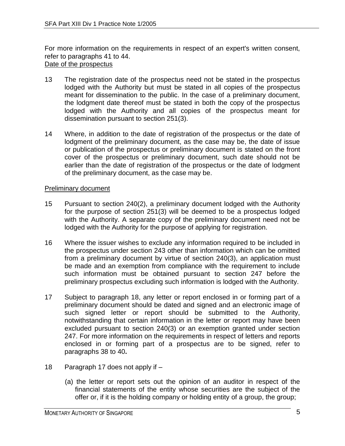For more information on the requirements in respect of an expert's written consent, refer to paragraphs 41 to 44. Date of the prospectus

- 13 The registration date of the prospectus need not be stated in the prospectus lodged with the Authority but must be stated in all copies of the prospectus meant for dissemination to the public. In the case of a preliminary document, the lodgment date thereof must be stated in both the copy of the prospectus lodged with the Authority and all copies of the prospectus meant for dissemination pursuant to section 251(3).
- 14 Where, in addition to the date of registration of the prospectus or the date of lodgment of the preliminary document, as the case may be, the date of issue or publication of the prospectus or preliminary document is stated on the front cover of the prospectus or preliminary document, such date should not be earlier than the date of registration of the prospectus or the date of lodgment of the preliminary document, as the case may be.

#### Preliminary document

- 15 Pursuant to section 240(2), a preliminary document lodged with the Authority for the purpose of section 251(3) will be deemed to be a prospectus lodged with the Authority. A separate copy of the preliminary document need not be lodged with the Authority for the purpose of applying for registration.
- 16 Where the issuer wishes to exclude any information required to be included in the prospectus under section 243 other than information which can be omitted from a preliminary document by virtue of section 240(3), an application must be made and an exemption from compliance with the requirement to include such information must be obtained pursuant to section 247 before the preliminary prospectus excluding such information is lodged with the Authority.
- 17 Subject to paragraph 18, any letter or report enclosed in or forming part of a preliminary document should be dated and signed and an electronic image of such signed letter or report should be submitted to the Authority, notwithstanding that certain information in the letter or report may have been excluded pursuant to section 240(3) or an exemption granted under section 247. For more information on the requirements in respect of letters and reports enclosed in or forming part of a prospectus are to be signed, refer to paragraphs 38 to 40**.**
- 18 Paragraph 17 does not apply if
	- (a) the letter or report sets out the opinion of an auditor in respect of the financial statements of the entity whose securities are the subject of the offer or, if it is the holding company or holding entity of a group, the group;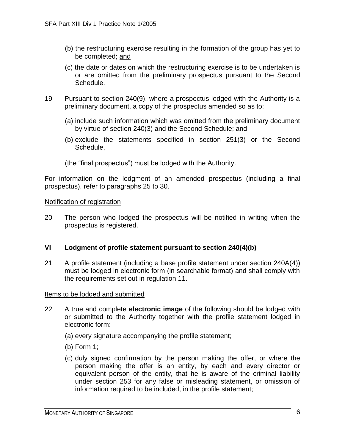- (b) the restructuring exercise resulting in the formation of the group has yet to be completed; and
- (c) the date or dates on which the restructuring exercise is to be undertaken is or are omitted from the preliminary prospectus pursuant to the Second Schedule.
- 19 Pursuant to section 240(9), where a prospectus lodged with the Authority is a preliminary document, a copy of the prospectus amended so as to:
	- (a) include such information which was omitted from the preliminary document by virtue of section 240(3) and the Second Schedule; and
	- (b) exclude the statements specified in section 251(3) or the Second Schedule,
	- (the "final prospectus") must be lodged with the Authority.

For information on the lodgment of an amended prospectus (including a final prospectus), refer to paragraphs 25 to 30.

#### Notification of registration

20 The person who lodged the prospectus will be notified in writing when the prospectus is registered.

#### **VI Lodgment of profile statement pursuant to section 240(4)(b)**

21 A profile statement (including a base profile statement under section 240A(4)) must be lodged in electronic form (in searchable format) and shall comply with the requirements set out in regulation 11.

- 22 A true and complete **electronic image** of the following should be lodged with or submitted to the Authority together with the profile statement lodged in electronic form:
	- (a) every signature accompanying the profile statement;
	- (b) Form 1;
	- (c) duly signed confirmation by the person making the offer, or where the person making the offer is an entity, by each and every director or equivalent person of the entity, that he is aware of the criminal liability under section 253 for any false or misleading statement, or omission of information required to be included, in the profile statement;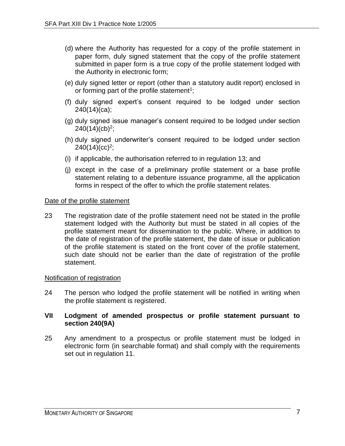- (d) where the Authority has requested for a copy of the profile statement in paper form, duly signed statement that the copy of the profile statement submitted in paper form is a true copy of the profile statement lodged with the Authority in electronic form;
- (e) duly signed letter or report (other than a statutory audit report) enclosed in or forming part of the profile statement<sup>1</sup>;
- (f) duly signed expert's consent required to be lodged under section 240(14)(ca);
- (g) duly signed issue manager's consent required to be lodged under section  $240(14)(cb)^2;$
- (h) duly signed underwriter's consent required to be lodged under section  $240(14)(cc)^2;$
- (i) if applicable, the authorisation referred to in regulation 13; and
- (j) except in the case of a preliminary profile statement or a base profile statement relating to a debenture issuance programme, all the application forms in respect of the offer to which the profile statement relates.

#### Date of the profile statement

23 The registration date of the profile statement need not be stated in the profile statement lodged with the Authority but must be stated in all copies of the profile statement meant for dissemination to the public. Where, in addition to the date of registration of the profile statement, the date of issue or publication of the profile statement is stated on the front cover of the profile statement, such date should not be earlier than the date of registration of the profile statement.

#### Notification of registration

24 The person who lodged the profile statement will be notified in writing when the profile statement is registered.

#### **VII Lodgment of amended prospectus or profile statement pursuant to section 240(9A)**

25 Any amendment to a prospectus or profile statement must be lodged in electronic form (in searchable format) and shall comply with the requirements set out in regulation 11.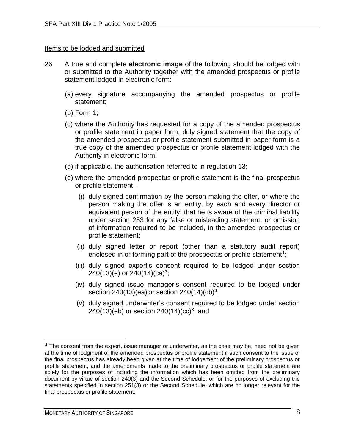#### Items to be lodged and submitted

- 26 A true and complete **electronic image** of the following should be lodged with or submitted to the Authority together with the amended prospectus or profile statement lodged in electronic form:
	- (a) every signature accompanying the amended prospectus or profile statement;
	- (b) Form 1;
	- (c) where the Authority has requested for a copy of the amended prospectus or profile statement in paper form, duly signed statement that the copy of the amended prospectus or profile statement submitted in paper form is a true copy of the amended prospectus or profile statement lodged with the Authority in electronic form;
	- (d) if applicable, the authorisation referred to in regulation 13;
	- (e) where the amended prospectus or profile statement is the final prospectus or profile statement -
		- (i) duly signed confirmation by the person making the offer, or where the person making the offer is an entity, by each and every director or equivalent person of the entity, that he is aware of the criminal liability under section 253 for any false or misleading statement, or omission of information required to be included, in the amended prospectus or profile statement;
		- (ii) duly signed letter or report (other than a statutory audit report) enclosed in or forming part of the prospectus or profile statement<sup>1</sup>;
		- (iii) duly signed expert's consent required to be lodged under section 240(13)(e) or 240(14)(ca)<sup>3</sup>;
		- (iv) duly signed issue manager's consent required to be lodged under section 240(13)(ea) or section 240(14)(cb)<sup>3</sup>;
		- (v) duly signed underwriter's consent required to be lodged under section 240(13)(eb) or section 240(14)(cc)<sup>3</sup>; and

l

 $3$  The consent from the expert, issue manager or underwriter, as the case may be, need not be given at the time of lodgment of the amended prospectus or profile statement if such consent to the issue of the final prospectus has already been given at the time of lodgement of the preliminary prospectus or profile statement, and the amendments made to the preliminary prospectus or profile statement are solely for the purposes of including the information which has been omitted from the preliminary document by virtue of section 240(3) and the Second Schedule, or for the purposes of excluding the statements specified in section 251(3) or the Second Schedule, which are no longer relevant for the final prospectus or profile statement.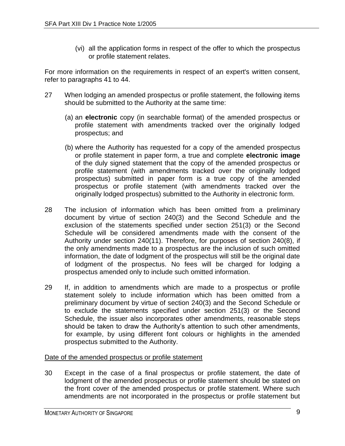(vi) all the application forms in respect of the offer to which the prospectus or profile statement relates.

For more information on the requirements in respect of an expert's written consent, refer to paragraphs 41 to 44.

- 27 When lodging an amended prospectus or profile statement, the following items should be submitted to the Authority at the same time:
	- (a) an **electronic** copy (in searchable format) of the amended prospectus or profile statement with amendments tracked over the originally lodged prospectus; and
	- (b) where the Authority has requested for a copy of the amended prospectus or profile statement in paper form, a true and complete **electronic image** of the duly signed statement that the copy of the amended prospectus or profile statement (with amendments tracked over the originally lodged prospectus) submitted in paper form is a true copy of the amended prospectus or profile statement (with amendments tracked over the originally lodged prospectus) submitted to the Authority in electronic form.
- 28 The inclusion of information which has been omitted from a preliminary document by virtue of section 240(3) and the Second Schedule and the exclusion of the statements specified under section 251(3) or the Second Schedule will be considered amendments made with the consent of the Authority under section 240(11). Therefore, for purposes of section 240(8), if the only amendments made to a prospectus are the inclusion of such omitted information, the date of lodgment of the prospectus will still be the original date of lodgment of the prospectus. No fees will be charged for lodging a prospectus amended only to include such omitted information.
- 29 If, in addition to amendments which are made to a prospectus or profile statement solely to include information which has been omitted from a preliminary document by virtue of section 240(3) and the Second Schedule or to exclude the statements specified under section 251(3) or the Second Schedule, the issuer also incorporates other amendments, reasonable steps should be taken to draw the Authority's attention to such other amendments, for example, by using different font colours or highlights in the amended prospectus submitted to the Authority.

#### Date of the amended prospectus or profile statement

30 Except in the case of a final prospectus or profile statement, the date of lodgment of the amended prospectus or profile statement should be stated on the front cover of the amended prospectus or profile statement. Where such amendments are not incorporated in the prospectus or profile statement but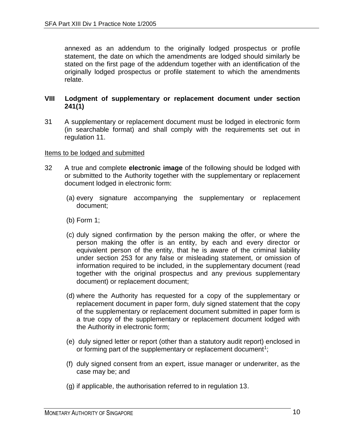annexed as an addendum to the originally lodged prospectus or profile statement, the date on which the amendments are lodged should similarly be stated on the first page of the addendum together with an identification of the originally lodged prospectus or profile statement to which the amendments relate.

#### **VIII Lodgment of supplementary or replacement document under section 241(1)**

31 A supplementary or replacement document must be lodged in electronic form (in searchable format) and shall comply with the requirements set out in regulation 11.

- 32 A true and complete **electronic image** of the following should be lodged with or submitted to the Authority together with the supplementary or replacement document lodged in electronic form:
	- (a) every signature accompanying the supplementary or replacement document;
	- (b) Form 1;
	- (c) duly signed confirmation by the person making the offer, or where the person making the offer is an entity, by each and every director or equivalent person of the entity, that he is aware of the criminal liability under section 253 for any false or misleading statement, or omission of information required to be included, in the supplementary document (read together with the original prospectus and any previous supplementary document) or replacement document;
	- (d) where the Authority has requested for a copy of the supplementary or replacement document in paper form, duly signed statement that the copy of the supplementary or replacement document submitted in paper form is a true copy of the supplementary or replacement document lodged with the Authority in electronic form;
	- (e) duly signed letter or report (other than a statutory audit report) enclosed in or forming part of the supplementary or replacement document<sup>1</sup>;
	- (f) duly signed consent from an expert, issue manager or underwriter, as the case may be; and
	- (g) if applicable, the authorisation referred to in regulation 13.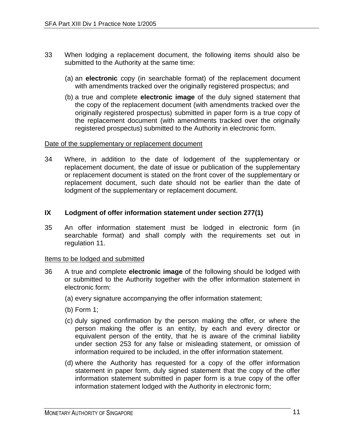- 33 When lodging a replacement document, the following items should also be submitted to the Authority at the same time:
	- (a) an **electronic** copy (in searchable format) of the replacement document with amendments tracked over the originally registered prospectus; and
	- (b) a true and complete **electronic image** of the duly signed statement that the copy of the replacement document (with amendments tracked over the originally registered prospectus) submitted in paper form is a true copy of the replacement document (with amendments tracked over the originally registered prospectus) submitted to the Authority in electronic form.

#### Date of the supplementary or replacement document

34 Where, in addition to the date of lodgement of the supplementary or replacement document, the date of issue or publication of the supplementary or replacement document is stated on the front cover of the supplementary or replacement document, such date should not be earlier than the date of lodgment of the supplementary or replacement document.

#### **IX Lodgment of offer information statement under section 277(1)**

35 An offer information statement must be lodged in electronic form (in searchable format) and shall comply with the requirements set out in regulation 11.

- 36 A true and complete **electronic image** of the following should be lodged with or submitted to the Authority together with the offer information statement in electronic form:
	- (a) every signature accompanying the offer information statement;
	- (b) Form 1;
	- (c) duly signed confirmation by the person making the offer, or where the person making the offer is an entity, by each and every director or equivalent person of the entity, that he is aware of the criminal liability under section 253 for any false or misleading statement, or omission of information required to be included, in the offer information statement.
	- (d) where the Authority has requested for a copy of the offer information statement in paper form, duly signed statement that the copy of the offer information statement submitted in paper form is a true copy of the offer information statement lodged with the Authority in electronic form;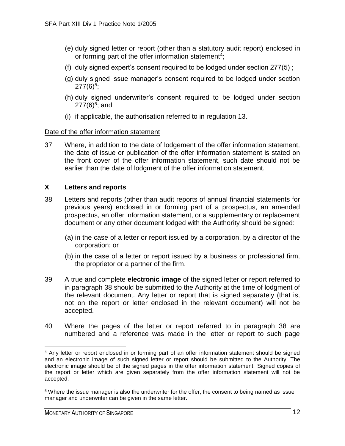- (e) duly signed letter or report (other than a statutory audit report) enclosed in or forming part of the offer information statement<sup>4</sup>;
- (f) duly signed expert's consent required to be lodged under section 277(5) ;
- (g) duly signed issue manager's consent required to be lodged under section  $277(6)^5;$
- (h) duly signed underwriter's consent required to be lodged under section 277(6)<sup>5</sup>; and
- (i) if applicable, the authorisation referred to in regulation 13.

#### Date of the offer information statement

37 Where, in addition to the date of lodgement of the offer information statement, the date of issue or publication of the offer information statement is stated on the front cover of the offer information statement, such date should not be earlier than the date of lodgment of the offer information statement.

#### **X Letters and reports**

- 38 Letters and reports (other than audit reports of annual financial statements for previous years) enclosed in or forming part of a prospectus, an amended prospectus, an offer information statement, or a supplementary or replacement document or any other document lodged with the Authority should be signed:
	- (a) in the case of a letter or report issued by a corporation, by a director of the corporation; or
	- (b) in the case of a letter or report issued by a business or professional firm, the proprietor or a partner of the firm.
- 39 A true and complete **electronic image** of the signed letter or report referred to in paragraph 38 should be submitted to the Authority at the time of lodgment of the relevant document. Any letter or report that is signed separately (that is, not on the report or letter enclosed in the relevant document) will not be accepted.
- 40 Where the pages of the letter or report referred to in paragraph 38 are numbered and a reference was made in the letter or report to such page

 <sup>4</sup> Any letter or report enclosed in or forming part of an offer information statement should be signed and an electronic image of such signed letter or report should be submitted to the Authority. The electronic image should be of the signed pages in the offer information statement. Signed copies of the report or letter which are given separately from the offer information statement will not be accepted.

<sup>&</sup>lt;sup>5</sup> Where the issue manager is also the underwriter for the offer, the consent to being named as issue manager and underwriter can be given in the same letter.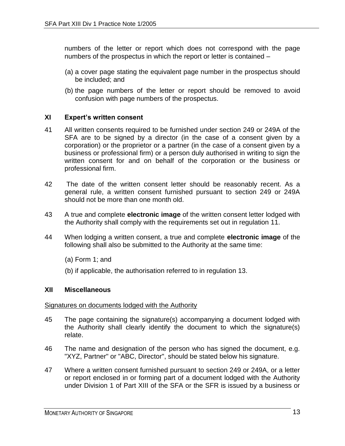numbers of the letter or report which does not correspond with the page numbers of the prospectus in which the report or letter is contained –

- (a) a cover page stating the equivalent page number in the prospectus should be included; and
- (b) the page numbers of the letter or report should be removed to avoid confusion with page numbers of the prospectus.

#### **XI Expert's written consent**

- 41 All written consents required to be furnished under section 249 or 249A of the SFA are to be signed by a director (in the case of a consent given by a corporation) or the proprietor or a partner (in the case of a consent given by a business or professional firm) or a person duly authorised in writing to sign the written consent for and on behalf of the corporation or the business or professional firm.
- 42 The date of the written consent letter should be reasonably recent. As a general rule, a written consent furnished pursuant to section 249 or 249A should not be more than one month old.
- 43 A true and complete **electronic image** of the written consent letter lodged with the Authority shall comply with the requirements set out in regulation 11.
- 44 When lodging a written consent, a true and complete **electronic image** of the following shall also be submitted to the Authority at the same time:
	- (a) Form 1; and
	- (b) if applicable, the authorisation referred to in regulation 13.

#### **XII Miscellaneous**

#### Signatures on documents lodged with the Authority

- 45 The page containing the signature(s) accompanying a document lodged with the Authority shall clearly identify the document to which the signature(s) relate.
- 46 The name and designation of the person who has signed the document, e.g. "XYZ, Partner" or "ABC, Director", should be stated below his signature.
- 47 Where a written consent furnished pursuant to section 249 or 249A, or a letter or report enclosed in or forming part of a document lodged with the Authority under Division 1 of Part XIII of the SFA or the SFR is issued by a business or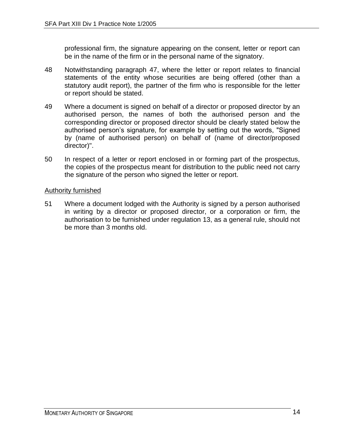professional firm, the signature appearing on the consent, letter or report can be in the name of the firm or in the personal name of the signatory.

- 48 Notwithstanding paragraph 47, where the letter or report relates to financial statements of the entity whose securities are being offered (other than a statutory audit report), the partner of the firm who is responsible for the letter or report should be stated.
- 49 Where a document is signed on behalf of a director or proposed director by an authorised person, the names of both the authorised person and the corresponding director or proposed director should be clearly stated below the authorised person's signature, for example by setting out the words, "Signed by (name of authorised person) on behalf of (name of director/proposed director)".
- 50 In respect of a letter or report enclosed in or forming part of the prospectus, the copies of the prospectus meant for distribution to the public need not carry the signature of the person who signed the letter or report.

#### Authority furnished

51 Where a document lodged with the Authority is signed by a person authorised in writing by a director or proposed director, or a corporation or firm, the authorisation to be furnished under regulation 13, as a general rule, should not be more than 3 months old.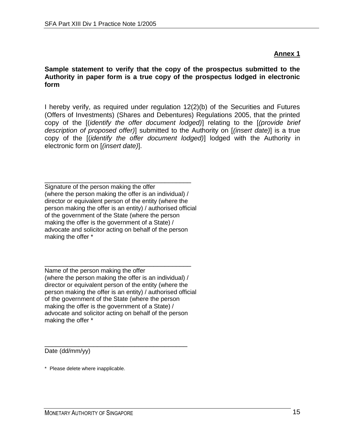**Sample statement to verify that the copy of the prospectus submitted to the Authority in paper form is a true copy of the prospectus lodged in electronic form**

I hereby verify, as required under regulation 12(2)(b) of the Securities and Futures (Offers of Investments) (Shares and Debentures) Regulations 2005, that the printed copy of the [(*identify the offer document lodged)*] relating to the [*(provide brief description of proposed offer)*] submitted to the Authority on [*(insert date)*] is a true copy of the [(*identify the offer document lodged)*] lodged with the Authority in electronic form on [*(insert date)*].

\_\_\_\_\_\_\_\_\_\_\_\_\_\_\_\_\_\_\_\_\_\_\_\_\_\_\_\_\_\_\_\_\_\_\_\_\_\_\_ Signature of the person making the offer (where the person making the offer is an individual) / director or equivalent person of the entity (where the person making the offer is an entity) / authorised official of the government of the State (where the person making the offer is the government of a State) / advocate and solicitor acting on behalf of the person making the offer \*

\_\_\_\_\_\_\_\_\_\_\_\_\_\_\_\_\_\_\_\_\_\_\_\_\_\_\_\_\_\_\_\_\_\_\_\_\_\_\_ Name of the person making the offer (where the person making the offer is an individual) / director or equivalent person of the entity (where the person making the offer is an entity) / authorised official of the government of the State (where the person making the offer is the government of a State) / advocate and solicitor acting on behalf of the person making the offer \*

\_\_\_\_\_\_\_\_\_\_\_\_\_\_\_\_\_\_\_\_\_\_\_\_\_\_\_\_\_\_\_\_\_\_\_\_\_\_ Date (dd/mm/yy)

\* Please delete where inapplicable.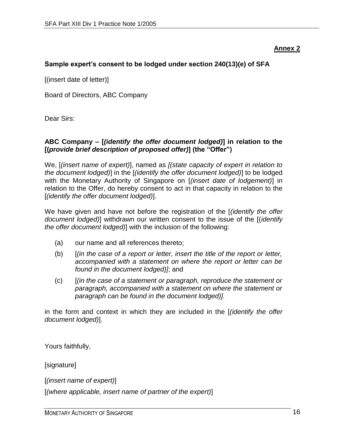#### **Sample expert's consent to be lodged under section 240(13)(e) of SFA**

[(insert date of letter)]

Board of Directors, ABC Company

Dear Sirs:

#### **ABC Company – [***(identify the offer document lodged)***] in relation to the [(***provide brief description of proposed offer)***] (the "Offer")**

We, [*(insert name of expert)*], named as *[(state capacity of expert in relation to the document lodged)*] in the [*(identify the offer document lodged)*] to be lodged with the Monetary Authority of Singapore on [*(insert date of lodgement)*] in relation to the Offer, do hereby consent to act in that capacity in relation to the [*(identify the offer document lodged)*].

We have given and have not before the registration of the [*(identify the offer document lodged)*] withdrawn our written consent to the issue of the [(*identify the offer document lodged)*] with the inclusion of the following:

- (a) our name and all references thereto;
- (b) [*(in the case of a report or letter, insert the title of the report or letter, accompanied with a statement on where the report or letter can be found in the document lodged)]*; and
- (c) [*(in the case of a statement or paragraph, reproduce the statement or paragraph, accompanied with a statement on where the statement or paragraph can be found in the document lodged)].*

in the form and context in which they are included in the [*(identify the offer document lodged)*].

Yours faithfully,

[signature]

[*(insert name of expert)*]

[*(where applicable, insert name of partner of the expert)*]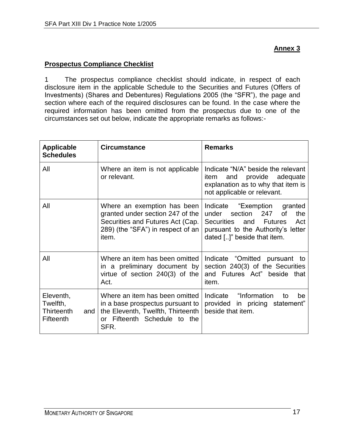## **Prospectus Compliance Checklist**

1 The prospectus compliance checklist should indicate, in respect of each disclosure item in the applicable Schedule to the Securities and Futures (Offers of Investments) (Shares and Debentures) Regulations 2005 (the "SFR"), the page and section where each of the required disclosures can be found. In the case where the required information has been omitted from the prospectus due to one of the circumstances set out below, indicate the appropriate remarks as follows:-

| <b>Applicable</b><br><b>Schedules</b>                   | <b>Circumstance</b>                                                                                                                               | <b>Remarks</b>                                                                                                                                                                         |
|---------------------------------------------------------|---------------------------------------------------------------------------------------------------------------------------------------------------|----------------------------------------------------------------------------------------------------------------------------------------------------------------------------------------|
| All                                                     | Where an item is not applicable<br>or relevant.                                                                                                   | Indicate "N/A" beside the relevant<br>provide adequate<br>item<br>and<br>explanation as to why that item is<br>not applicable or relevant.                                             |
| All                                                     | Where an exemption has been<br>granted under section 247 of the<br>Securities and Futures Act (Cap.<br>289) (the "SFA") in respect of an<br>item. | Indicate "Exemption<br>granted<br>247<br>under<br>section<br><b>of</b><br>the<br>Act<br>Securities<br>and Futures<br>pursuant to the Authority's letter<br>dated []" beside that item. |
| All                                                     | Where an item has been omitted<br>in a preliminary document by<br>virtue of section 240(3) of the<br>Act.                                         | Indicate "Omitted pursuant to<br>section 240(3) of the Securities<br>and Futures Act" beside that<br>item.                                                                             |
| Eleventh,<br>Twelfth,<br>Thirteenth<br>and<br>Fifteenth | Where an item has been omitted<br>in a base prospectus pursuant to<br>the Eleventh, Twelfth, Thirteenth<br>or Fifteenth Schedule to the<br>SFR.   | Indicate "Information"<br>be<br>to<br>provided in pricing statement"<br>beside that item.                                                                                              |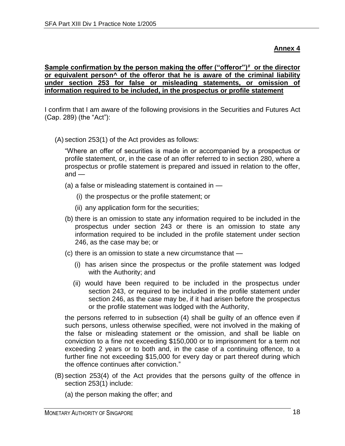#### **Sample confirmation by the person making the offer ("offeror")# or the director or equivalent person^ of the offeror that he is aware of the criminal liability under section 253 for false or misleading statements, or omission of information required to be included, in the prospectus or profile statement**

I confirm that I am aware of the following provisions in the Securities and Futures Act (Cap. 289) (the "Act"):

(A) section 253(1) of the Act provides as follows:

"Where an offer of securities is made in or accompanied by a prospectus or profile statement, or, in the case of an offer referred to in section 280, where a prospectus or profile statement is prepared and issued in relation to the offer,  $and -$ 

- (a) a false or misleading statement is contained in
	- (i) the prospectus or the profile statement; or
	- (ii) any application form for the securities;
- (b) there is an omission to state any information required to be included in the prospectus under section 243 or there is an omission to state any information required to be included in the profile statement under section 246, as the case may be; or
- (c) there is an omission to state a new circumstance that
	- (i) has arisen since the prospectus or the profile statement was lodged with the Authority; and
	- (ii) would have been required to be included in the prospectus under section 243, or required to be included in the profile statement under section 246, as the case may be, if it had arisen before the prospectus or the profile statement was lodged with the Authority,

the persons referred to in subsection (4) shall be guilty of an offence even if such persons, unless otherwise specified, were not involved in the making of the false or misleading statement or the omission, and shall be liable on conviction to a fine not exceeding \$150,000 or to imprisonment for a term not exceeding 2 years or to both and, in the case of a continuing offence, to a further fine not exceeding \$15,000 for every day or part thereof during which the offence continues after conviction."

- (B) section 253(4) of the Act provides that the persons guilty of the offence in section 253(1) include:
	- (a) the person making the offer; and